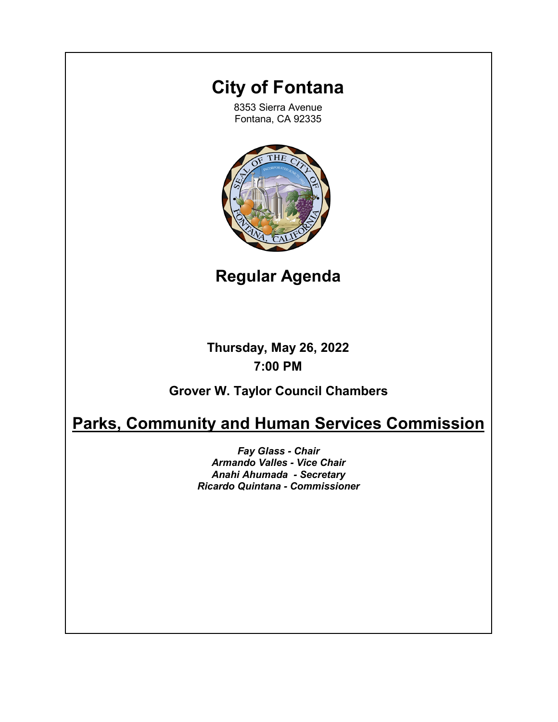# **City of Fontana**

8353 Sierra Avenue Fontana, CA 92335



**Regular Agenda**

**Thursday, May 26, 2022 7:00 PM**

**Grover W. Taylor Council Chambers**

# **Parks, Community and Human Services Commission**

*Fay Glass - Chair Armando Valles - Vice Chair Anahi Ahumada - Secretary Ricardo Quintana - Commissioner*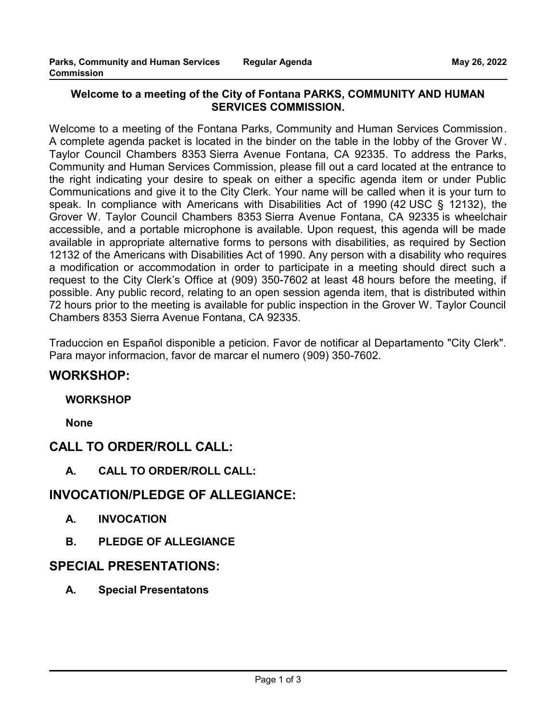### **Welcome to a meeting of the City of Fontana PARKS, COMMUNITY AND HUMAN SERVICES COMMISSION.**

Welcome to a meeting of the Fontana Parks, Community and Human Services Commission. A complete agenda packet is located in the binder on the table in the lobby of the Grover W . Taylor Council Chambers 8353 Sierra Avenue Fontana, CA 92335. To address the Parks, Community and Human Services Commission, please fill out a card located at the entrance to the right indicating your desire to speak on either a specific agenda item or under Public Communications and give it to the City Clerk. Your name will be called when it is your turn to speak. In compliance with Americans with Disabilities Act of 1990 (42 USC § 12132), the Grover W. Taylor Council Chambers 8353 Sierra Avenue Fontana, CA 92335 is wheelchair accessible, and a portable microphone is available. Upon request, this agenda will be made available in appropriate alternative forms to persons with disabilities, as required by Section 12132 of the Americans with Disabilities Act of 1990. Any person with a disability who requires a modification or accommodation in order to participate in a meeting should direct such a request to the City Clerk's Office at (909) 350-7602 at least 48 hours before the meeting, if possible. Any public record, relating to an open session agenda item, that is distributed within 72 hours prior to the meeting is available for public inspection in the Grover W. Taylor Council Chambers 8353 Sierra Avenue Fontana, CA 92335.

Traduccion en Español disponible a peticion. Favor de notificar al Departamento "City Clerk". Para mayor informacion, favor de marcar el numero (909) 350-7602.

## **WORKSHOP:**

## **WORKSHOP**

**None**

# **CALL TO ORDER/ROLL CALL:**

**A. CALL TO ORDER/ROLL CALL:**

# **INVOCATION/PLEDGE OF ALLEGIANCE:**

- **A. INVOCATION**
- **B. PLEDGE OF ALLEGIANCE**

# **SPECIAL PRESENTATIONS:**

**A. Special Presentatons**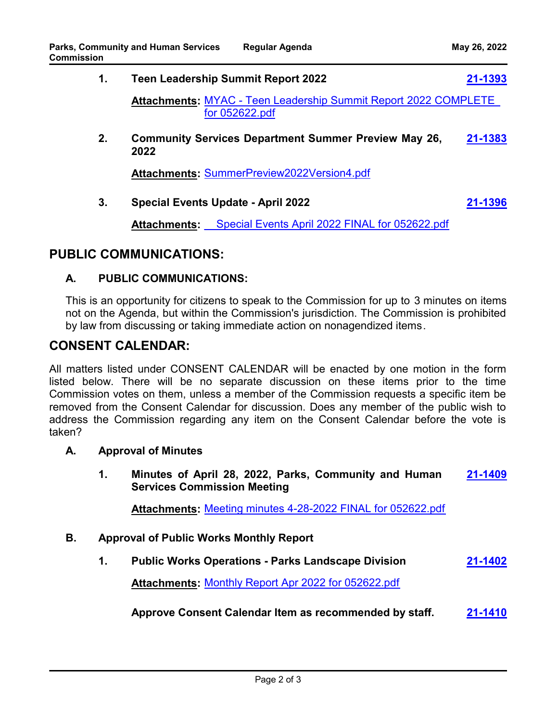| 1. |                                                   | <b>Teen Leadership Summit Report 2022</b>                                                | 21-1393 |
|----|---------------------------------------------------|------------------------------------------------------------------------------------------|---------|
|    |                                                   | <b>Attachments: MYAC - Teen Leadership Summit Report 2022 COMPLETE</b><br>for 052622.pdf |         |
| 2. | 2022                                              | <b>Community Services Department Summer Preview May 26,</b>                              | 21-1383 |
|    | <b>Attachments: SummerPreview2022Version4.pdf</b> |                                                                                          |         |
| 3. | <b>Special Events Update - April 2022</b>         |                                                                                          | 21-1396 |
|    | <b>Attachments:</b>                               | Special Events April 2022 FINAL for 052622.pdf                                           |         |

## **PUBLIC COMMUNICATIONS:**

#### **A. PUBLIC COMMUNICATIONS:**

This is an opportunity for citizens to speak to the Commission for up to 3 minutes on items not on the Agenda, but within the Commission's jurisdiction. The Commission is prohibited by law from discussing or taking immediate action on nonagendized items.

## **CONSENT CALENDAR:**

All matters listed under CONSENT CALENDAR will be enacted by one motion in the form listed below. There will be no separate discussion on these items prior to the time Commission votes on them, unless a member of the Commission requests a specific item be removed from the Consent Calendar for discussion. Does any member of the public wish to address the Commission regarding any item on the Consent Calendar before the vote is taken?

#### **A. Approval of Minutes**

**1. Minutes of April 28, 2022, Parks, Community and Human Services Commission Meeting [21-1409](http://fontana.legistar.com/gateway.aspx?m=l&id=/matter.aspx?key=2495)**

**Attachments:** [Meeting minutes 4-28-2022 FINAL for 052622.pdf](http://fontana.legistar.com/gateway.aspx?M=F&ID=ca91e8f7-26b6-4219-80c6-8d5bcc64c85f.pdf)

#### **B. Approval of Public Works Monthly Report**

**1. Public Works Operations - Parks Landscape Division [21-1402](http://fontana.legistar.com/gateway.aspx?m=l&id=/matter.aspx?key=2488)**

**Attachments:** [Monthly Report Apr 2022 for 052622.pdf](http://fontana.legistar.com/gateway.aspx?M=F&ID=ae97e440-8c0f-41e0-92a8-b9079e89f424.pdf)

**Approve Consent Calendar Item as recommended by staff. [21-1410](http://fontana.legistar.com/gateway.aspx?m=l&id=/matter.aspx?key=2496)**